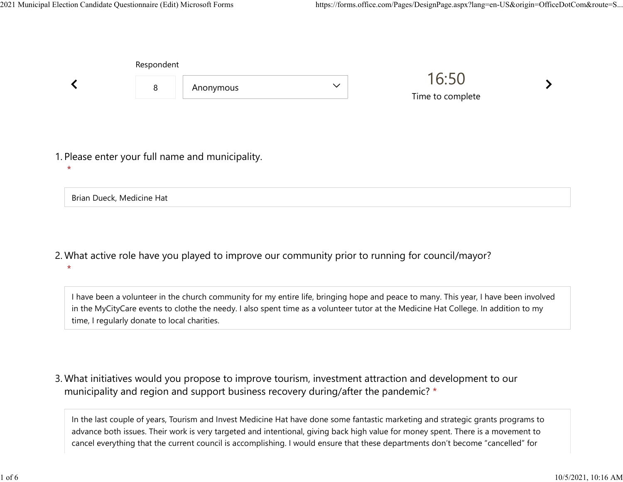|                                      | Respondent |                                                  |              |                           |  |  |
|--------------------------------------|------------|--------------------------------------------------|--------------|---------------------------|--|--|
|                                      | 8          | Anonymous                                        | $\checkmark$ | 16:50<br>Time to complete |  |  |
|                                      |            | 1. Please enter your full name and municipality. |              |                           |  |  |
| $\star$<br>Brian Dueck, Medicine Hat |            |                                                  |              |                           |  |  |

What active role have you played to improve our community prior to running for council/mayor? 2. \*

I have been a volunteer in the church community for my entire life, bringing hope and peace to many. This year, I have been involved in the MyCityCare events to clothe the needy. I also spent time as a volunteer tutor at the Medicine Hat College. In addition to my time, I regularly donate to local charities.

What initiatives would you propose to improve tourism, investment attraction and development to our 3. municipality and region and support business recovery during/after the pandemic? \*

In the last couple of years, Tourism and Invest Medicine Hat have done some fantastic marketing and strategic grants programs to advance both issues. Their work is very targeted and intentional, giving back high value for money spent. There is a movement to cancel everything that the current council is accomplishing. I would ensure that these departments don't become "cancelled" for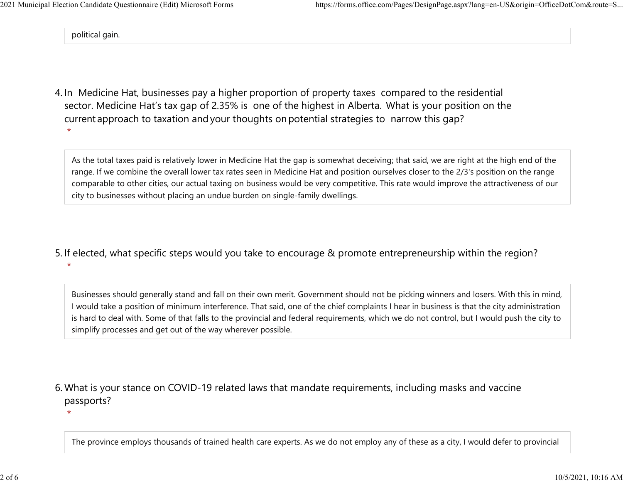political gain.

\*

4. In Medicine Hat, businesses pay a higher proportion of property taxes compared to the residential sector.  Medicine Hat's tax gap of 2.35% is one of the highest in Alberta.  What is your position on the current approach to taxation and your thoughts on potential strategies to narrow this gap? \*

As the total taxes paid is relatively lower in Medicine Hat the gap is somewhat deceiving; that said, we are right at the high end of the range. If we combine the overall lower tax rates seen in Medicine Hat and position ourselves closer to the 2/3's position on the range comparable to other cities, our actual taxing on business would be very competitive. This rate would improve the attractiveness of our city to businesses without placing an undue burden on single-family dwellings.

5. If elected, what specific steps would you take to encourage & promote entrepreneurship within the region? \*

Businesses should generally stand and fall on their own merit. Government should not be picking winners and losers. With this in mind, I would take a position of minimum interference. That said, one of the chief complaints I hear in business is that the city administration is hard to deal with. Some of that falls to the provincial and federal requirements, which we do not control, but I would push the city to simplify processes and get out of the way wherever possible.

What is your stance on COVID-19 related laws that mandate requirements, including masks and vaccine 6. passports?

The province employs thousands of trained health care experts. As we do not employ any of these as a city, I would defer to provincial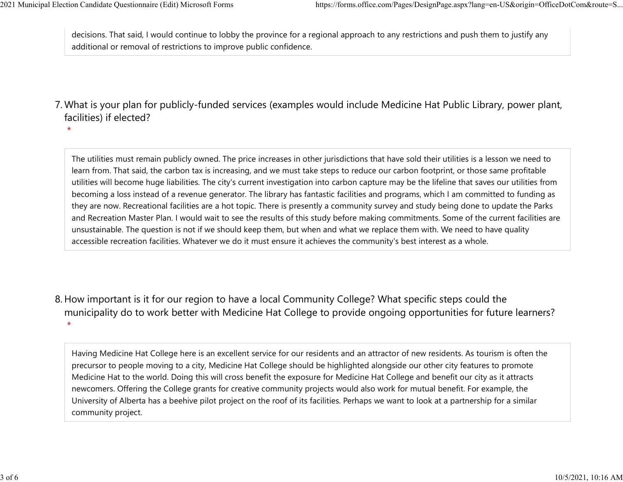decisions. That said, I would continue to lobby the province for a regional approach to any restrictions and push them to justify any additional or removal of restrictions to improve public confidence. 2021 Municipal Election Candidate Questionnaire (Edit) Microsoft Forms https://forms.office.com/Pages/DesignPage.aspx?lang=en-US&origin=OfficeDotCom&route=S...<br>decisions. That said, I would continue to lobby the province f

What is your plan for publicly-funded services (examples would include Medicine Hat Public Library, power plant, 7. facilities) if elected?

\*

The utilities must remain publicly owned. The price increases in other jurisdictions that have sold their utilities is a lesson we need to learn from. That said, the carbon tax is increasing, and we must take steps to reduce our carbon footprint, or those same profitable utilities will become huge liabilities. The city's current investigation into carbon capture may be the lifeline that saves our utilities from becoming a loss instead of a revenue generator. The library has fantastic facilities and programs, which I am committed to funding as they are now. Recreational facilities are a hot topic. There is presently a community survey and study being done to update the Parks and Recreation Master Plan. I would wait to see the results of this study before making commitments. Some of the current facilities are unsustainable. The question is not if we should keep them, but when and what we replace them with. We need to have quality accessible recreation facilities. Whatever we do it must ensure it achieves the community's best interest as a whole.

8. How important is it for our region to have a local Community College? What specific steps could the municipality do to work better with Medicine Hat College to provide ongoing opportunities for future learners? \*

Having Medicine Hat College here is an excellent service for our residents and an attractor of new residents. As tourism is often the precursor to people moving to a city, Medicine Hat College should be highlighted alongside our other city features to promote Medicine Hat to the world. Doing this will cross benefit the exposure for Medicine Hat College and benefit our city as it attracts newcomers. Offering the College grants for creative community projects would also work for mutual benefit. For example, the University of Alberta has a beehive pilot project on the roof of its facilities. Perhaps we want to look at a partnership for a similar community project.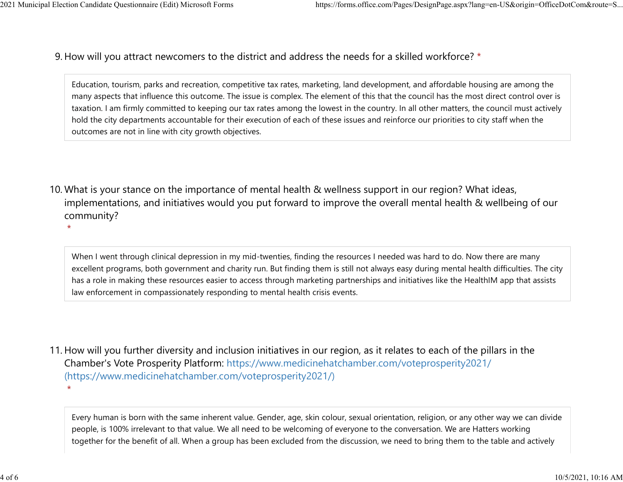\*

9. How will you attract newcomers to the district and address the needs for a skilled workforce? \* 2021 Municipal Election Candidate Questionnaire (Edit) Microsoft Forms https://forms.office.com/Pages/DesignPage.aspx?lang=en-US&origin=OfficeDotCom&route=S...<br>Q How will you attract newcomers to the district and address t

> Education, tourism, parks and recreation, competitive tax rates, marketing, land development, and affordable housing are among the many aspects that influence this outcome. The issue is complex. The element of this that the council has the most direct control over is taxation. I am firmly committed to keeping our tax rates among the lowest in the country. In all other matters, the council must actively hold the city departments accountable for their execution of each of these issues and reinforce our priorities to city staff when the outcomes are not in line with city growth objectives.

10. What is your stance on the importance of mental health & wellness support in our region? What ideas, implementations, and initiatives would you put forward to improve the overall mental health & wellbeing of our community?

When I went through clinical depression in my mid-twenties, finding the resources I needed was hard to do. Now there are many excellent programs, both government and charity run. But finding them is still not always easy during mental health difficulties. The city has a role in making these resources easier to access through marketing partnerships and initiatives like the HealthIM app that assists law enforcement in compassionately responding to mental health crisis events.

11. How will you further diversity and inclusion initiatives in our region, as it relates to each of the pillars in the Chamber's Vote Prosperity Platform: https://www.medicinehatchamber.com/voteprosperity2021/ (https://www.medicinehatchamber.com/voteprosperity2021/) \*

Every human is born with the same inherent value. Gender, age, skin colour, sexual orientation, religion, or any other way we can divide people, is 100% irrelevant to that value. We all need to be welcoming of everyone to the conversation. We are Hatters working together for the benefit of all. When a group has been excluded from the discussion, we need to bring them to the table and actively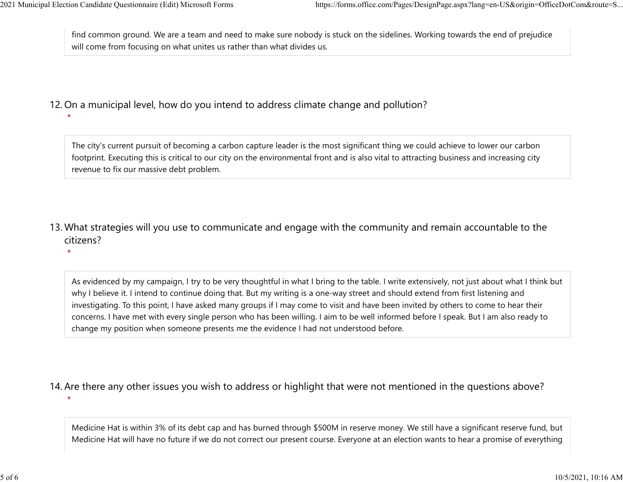find common ground. We are a team and need to make sure nobody is stuck on the sidelines. Working towards the end of prejudice will come from focusing on what unites us rather than what divides us. 2021 Municipal Election Candidate Questionnaire (Edit) Microsoft Forms https://forms.office.com/Pages/DesignPage.aspx?lang=en-US&origin=OfficeDotCom&route=S...<br>
find common ground. We are a team and need to make sure nobod

## 12. On a municipal level, how do you intend to address climate change and pollution?

\*

\*

The city's current pursuit of becoming a carbon capture leader is the most significant thing we could achieve to lower our carbon footprint. Executing this is critical to our city on the environmental front and is also vital to attracting business and increasing city revenue to fix our massive debt problem.

13. What strategies will you use to communicate and engage with the community and remain accountable to the citizens?

As evidenced by my campaign, I try to be very thoughtful in what I bring to the table. I write extensively, not just about what I think but why I believe it. I intend to continue doing that. But my writing is a one-way street and should extend from first listening and investigating. To this point, I have asked many groups if I may come to visit and have been invited by others to come to hear their concerns. I have met with every single person who has been willing. I aim to be well informed before I speak. But I am also ready to change my position when someone presents me the evidence I had not understood before.

14. Are there any other issues you wish to address or highlight that were not mentioned in the questions above?

\*

Medicine Hat is within 3% of its debt cap and has burned through \$500M in reserve money. We still have a significant reserve fund, but Medicine Hat will have no future if we do not correct our present course. Everyone at an election wants to hear a promise of everything